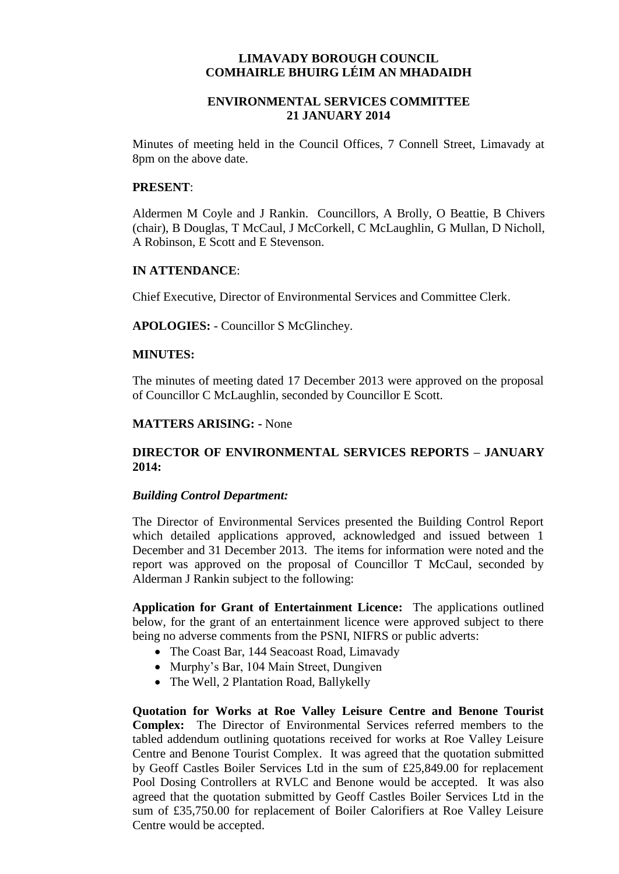# **LIMAVADY BOROUGH COUNCIL COMHAIRLE BHUIRG LÉIM AN MHADAIDH**

# **ENVIRONMENTAL SERVICES COMMITTEE 21 JANUARY 2014**

Minutes of meeting held in the Council Offices, 7 Connell Street, Limavady at 8pm on the above date.

#### **PRESENT**:

Aldermen M Coyle and J Rankin. Councillors, A Brolly, O Beattie, B Chivers (chair), B Douglas, T McCaul, J McCorkell, C McLaughlin, G Mullan, D Nicholl, A Robinson, E Scott and E Stevenson.

### **IN ATTENDANCE**:

Chief Executive, Director of Environmental Services and Committee Clerk.

**APOLOGIES:** - Councillor S McGlinchey.

### **MINUTES:**

The minutes of meeting dated 17 December 2013 were approved on the proposal of Councillor C McLaughlin, seconded by Councillor E Scott.

### **MATTERS ARISING: -** None

# **DIRECTOR OF ENVIRONMENTAL SERVICES REPORTS – JANUARY 2014:**

#### *Building Control Department:*

The Director of Environmental Services presented the Building Control Report which detailed applications approved, acknowledged and issued between 1 December and 31 December 2013. The items for information were noted and the report was approved on the proposal of Councillor T McCaul, seconded by Alderman J Rankin subject to the following:

**Application for Grant of Entertainment Licence:** The applications outlined below, for the grant of an entertainment licence were approved subject to there being no adverse comments from the PSNI, NIFRS or public adverts:

- The Coast Bar, 144 Seacoast Road, Limavady
- Murphy's Bar, 104 Main Street, Dungiven
- The Well, 2 Plantation Road, Ballykelly

**Quotation for Works at Roe Valley Leisure Centre and Benone Tourist Complex:** The Director of Environmental Services referred members to the tabled addendum outlining quotations received for works at Roe Valley Leisure Centre and Benone Tourist Complex. It was agreed that the quotation submitted by Geoff Castles Boiler Services Ltd in the sum of £25,849.00 for replacement Pool Dosing Controllers at RVLC and Benone would be accepted. It was also agreed that the quotation submitted by Geoff Castles Boiler Services Ltd in the sum of £35,750.00 for replacement of Boiler Calorifiers at Roe Valley Leisure Centre would be accepted.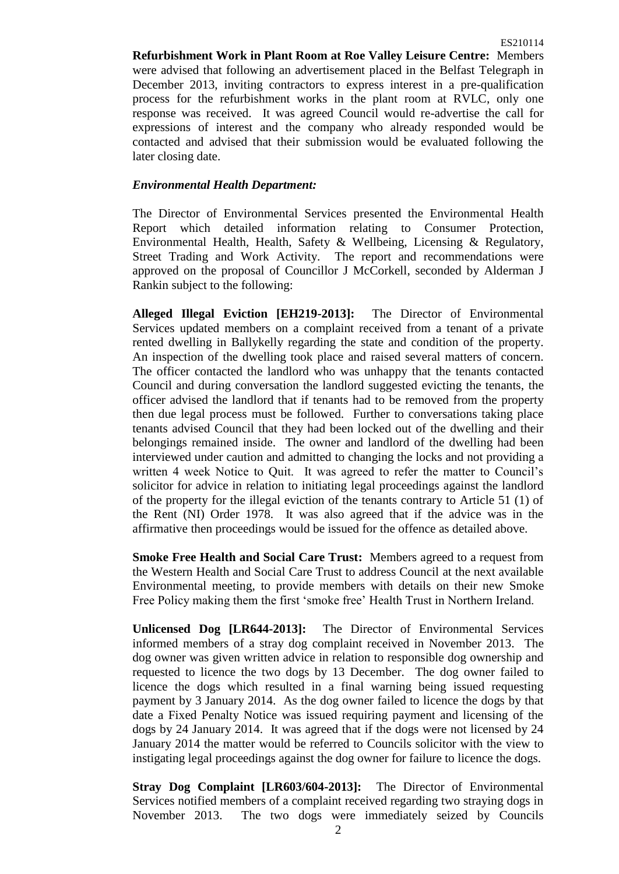**Refurbishment Work in Plant Room at Roe Valley Leisure Centre:** Members were advised that following an advertisement placed in the Belfast Telegraph in December 2013, inviting contractors to express interest in a pre-qualification process for the refurbishment works in the plant room at RVLC, only one response was received. It was agreed Council would re-advertise the call for expressions of interest and the company who already responded would be contacted and advised that their submission would be evaluated following the later closing date.

### *Environmental Health Department:*

The Director of Environmental Services presented the Environmental Health Report which detailed information relating to Consumer Protection, Environmental Health, Health, Safety & Wellbeing, Licensing & Regulatory, Street Trading and Work Activity. The report and recommendations were approved on the proposal of Councillor J McCorkell, seconded by Alderman J Rankin subject to the following:

**Alleged Illegal Eviction [EH219-2013]:** The Director of Environmental Services updated members on a complaint received from a tenant of a private rented dwelling in Ballykelly regarding the state and condition of the property. An inspection of the dwelling took place and raised several matters of concern. The officer contacted the landlord who was unhappy that the tenants contacted Council and during conversation the landlord suggested evicting the tenants, the officer advised the landlord that if tenants had to be removed from the property then due legal process must be followed. Further to conversations taking place tenants advised Council that they had been locked out of the dwelling and their belongings remained inside. The owner and landlord of the dwelling had been interviewed under caution and admitted to changing the locks and not providing a written 4 week Notice to Quit. It was agreed to refer the matter to Council's solicitor for advice in relation to initiating legal proceedings against the landlord of the property for the illegal eviction of the tenants contrary to Article 51 (1) of the Rent (NI) Order 1978. It was also agreed that if the advice was in the affirmative then proceedings would be issued for the offence as detailed above.

**Smoke Free Health and Social Care Trust:** Members agreed to a request from the Western Health and Social Care Trust to address Council at the next available Environmental meeting, to provide members with details on their new Smoke Free Policy making them the first 'smoke free' Health Trust in Northern Ireland.

**Unlicensed Dog [LR644-2013]:** The Director of Environmental Services informed members of a stray dog complaint received in November 2013. The dog owner was given written advice in relation to responsible dog ownership and requested to licence the two dogs by 13 December. The dog owner failed to licence the dogs which resulted in a final warning being issued requesting payment by 3 January 2014. As the dog owner failed to licence the dogs by that date a Fixed Penalty Notice was issued requiring payment and licensing of the dogs by 24 January 2014. It was agreed that if the dogs were not licensed by 24 January 2014 the matter would be referred to Councils solicitor with the view to instigating legal proceedings against the dog owner for failure to licence the dogs.

**Stray Dog Complaint [LR603/604-2013]:** The Director of Environmental Services notified members of a complaint received regarding two straying dogs in November 2013. The two dogs were immediately seized by Councils